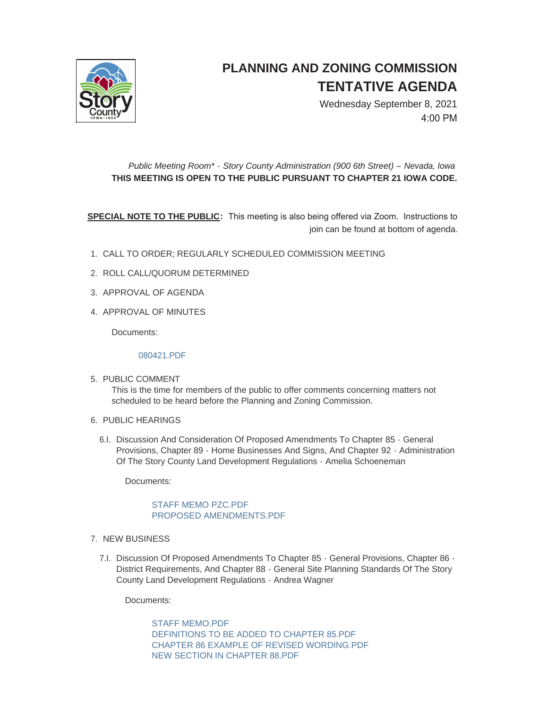

## **PLANNING AND ZONING COMMISSION TENTATIVE AGENDA**

Wednesday September 8, 2021 4:00 PM

## *Public Meeting Room\* - Story County Administration (900 6th Street) – Nevada, Iowa* **THIS MEETING IS OPEN TO THE PUBLIC PURSUANT TO CHAPTER 21 IOWA CODE.**

**SPECIAL NOTE TO THE PUBLIC:** This meeting is also being offered via Zoom. Instructions to join can be found at bottom of agenda.

- CALL TO ORDER; REGULARLY SCHEDULED COMMISSION MEETING 1.
- 2. ROLL CALL/QUORUM DETERMINED
- 3. APPROVAL OF AGENDA
- 4. APPROVAL OF MINUTES

Documents:

[080421.PDF](http://www.storycountyiowa.gov/AgendaCenter/ViewFile/Item/22046?fileID=16871)

- 5. PUBLIC COMMENT This is the time for members of the public to offer comments concerning matters not scheduled to be heard before the Planning and Zoning Commission.
- 6. PUBLIC HEARINGS
	- 6.I. Discussion And Consideration Of Proposed Amendments To Chapter 85 General Provisions, Chapter 89 - Home Businesses And Signs, And Chapter 92 - Administration Of The Story County Land Development Regulations - Amelia Schoeneman

Documents:

## [STAFF MEMO PZC.PDF](http://www.storycountyiowa.gov/AgendaCenter/ViewFile/Item/22065?fileID=16879) [PROPOSED AMENDMENTS.PDF](http://www.storycountyiowa.gov/AgendaCenter/ViewFile/Item/22065?fileID=16880)

- 7. NEW BUSINESS
	- 7.I. Discussion Of Proposed Amendments To Chapter 85 General Provisions, Chapter 86 -District Requirements, And Chapter 88 - General Site Planning Standards Of The Story County Land Development Regulations - Andrea Wagner

Documents:

[STAFF MEMO.PDF](http://www.storycountyiowa.gov/AgendaCenter/ViewFile/Item/22066?fileID=16881) [DEFINITIONS TO BE ADDED TO CHAPTER 85.PDF](http://www.storycountyiowa.gov/AgendaCenter/ViewFile/Item/22066?fileID=16882) [CHAPTER 86 EXAMPLE OF REVISED WORDING.PDF](http://www.storycountyiowa.gov/AgendaCenter/ViewFile/Item/22066?fileID=16883) [NEW SECTION IN CHAPTER 88.PDF](http://www.storycountyiowa.gov/AgendaCenter/ViewFile/Item/22066?fileID=16884)